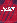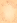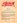

Players: 2 to 6 Age: 12+ Average Playtime: 20 minutes

They are all here: the Monsters and the Villains, ready to bite and stab and catch lost sheep...

Who will survive? Who will betray their friends? Who will be the evil creatures hiding in the dark? And most importantly, which Villain will manage to Slash the most?

Welcome to Slasher, the game where you play both sides of a horror film!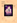

#### Villains (x14)

**Scoring** rule icon



Initiative value

## Scoring rule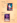

# Actions (x10)

Action rule icon

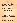# *Objective*

The goal of the game is to play Villain cards to score points every round. The first player to accumulate 20 Points wins the game.

You can adjust the length of the game by changing the value of the goal  $-$  try 30 Points for a longer game, or 10 Points for a shorter one.

# *Description of a Round*

The game is divided into rounds. At the end of a round, if no one has won the game, the players start a new round.

When starting a new round, shuffle all the Villains (except those kept by players - see SLASH! below) and distribute one to every player. Then, shuffle all the Actor and Action cards together and distribute 6 of those to every player.

A round is divided into two phases: the Setting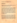Up phase and the SLASH! Phase.

# *Setting Up*

During this phase, players play their Actor and Action cards, one after another.

For the first round, the first player is decided randomly between players. Afterwards, the first player is the one with the highest score. If two players share the same highest score, the first player is the one who scored the most points in the last round. If there's still a tie, decide the first player randomly among the players with the highest score.

Starting from the first player and going clockwise, each player plays one card (Actor or Action), until everyone has only one Actor or Action card in hand. Each player should end the Setting Up phase with one Actor or Action card in hand.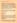#### *Actor Cards*

An Actor card is played simply by putting it on the table. Actors are shared by all players. An Actor can be placed alone or can band with other Actors already on the table. You can't move already-placed Actors when playing an Actor card, but you can choose if it will be played alone or band with a Group.

An Actor card alone on the table is called a Lonely Actor. Otherwise, several Actors together make a Group.

## *Action Cards*

Action cards are used to alter the existing Groups or Lonely Actors. When you play an Action card, you don't add an Actor to the table, but you do change the placement of alreadyplayed Actors.

When you play an Action card, do as written on the text of the card, if possible, and then dis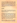card the Action card. If, for any reason, doing as written isn't possible (if there aren't enough Actor cards on the table, for example), don't do anything and simply discard the Action card. You have to do as written if possible; you can't choose not to use the effect of the Action card if you play it.

#### *SLASH!*

When all players have played until they have only one Actor or Action card in hand, the SLASH! Phase begins.

The SLASH! Phase is divided into parts. First, all of the players decide at the same time if every one of them want to play Villain cards. Each player can decide to play one, more than one, or none of their Villain cards. The players count to 3, and at 3, every player puts face down the Villain card or cards they intend to play.

Then, every player turns their Villain card or cards face up. Starting from the lowest initia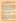tive value (the number shown in the top right corner) and going up from there, Villain cards are played one after another.

When a Villain card is played, the player who played it checks if the conditions for the Villain to Slash are met. If they are, the player Slashes Actors on the table according to the text on the Villain card and scores as many points as Actors Slashed. Keep note of the scores - they are added up every round for every player.

Slashed Actors are discarded. It means other Villains won't be able to Slash them. The played Villain card is also discarded.

Sometimes, a Villain is not able to Slash any Actors because the conditions are not met – most of the time because the Actors the Villain intended to Slash were already removed. In this case the Villain walks away, ashamed, and the Villain card is discarded.

When all Villain cards face up are played, every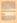player discards the last Actor or Action card they haven't played. Players keep their unplayed Villain cards, although they still draw another Villain on the next round. This means the players can have more than one Villain card in their hand. At any time, if a player has more than 3 Villain cards in hand, they must discard as many cards as needed to have 3 Villain cards in hand. If you're playing with 5 or 6 players, this maximum is lowered to 2 cards.

Gather all the Actor and Action cards along with the unkept Villains and prepare for a new round!

# *End game*

At the end of every round, check to see if any player has reached a score of 20 (or 30 or 10 if you decided on a longer or shorter game) by adding the scores they got in all of the rounds they played. If no one has, gather all discarded cards and prepare for a new round!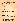If more than one player reaches the winning score in the same round, the winner is the one with the best score. If several players end the game with the same best score, they all win!

# *The Villains*

#### *The Mutant (Initiative: 5)*

Slashes one Actor. Then, you may play your last Action or Actor card

First, the Mutant Slashes any Actor on the board, Lonely Actor or part of a group. Then, the player who played the Mutant may play their 6th Action or Actor card in hand, if they want.

### *The Doctor (Initiative: 10)*

Slashes a group with only consecutive values.

He can Slash a group only (not a Lonely Actor). All cards in the group must be consecutive. If there are two cards of the same value, or if there's a hole in the sequence of values, the Slash isn't valid.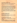## *The Zombie (Initiative: 15)*

Slash one Lonely Actor and one group with a size equal to the value of the Lonely Actor

The Zombies must Slash exactly one Lonely Actor and one group. The chosen group must have exactly the same size as the value of the Lonely Actor. You can't choose a Lonely Actor with a value of 1 and Slash another Lonely Actor.

For example, the Zombies can Slash a Lonely Actor with a value of 3 and a group with 3 cards in it.

# *The Alien (Initiative: 20)*

Slashes all Lonely Actors. The Alien Slashes Lonely Actors only; it can never Slash Actors in groups.

#### *The Werewolf (Initiative: 30)*

Slashes Actors in multiple groups in a sequential order.

The Werewolf Slashes one sequence of values, each card of the sequence in a different Group.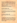The size of the sequence must be exactly 3. For example, the Werewolf can Slash an Actor with a value of 1 in a group A, then an Actor with a value of 2 in a group B, then an Actor with a value of 3 in a group C.

The Werewolf can never Slash a Lonely Actor. Slashed Actors must be in Groups.

#### *The Doll (Initiative: 40)*

Slashes a group with exactly 5 Actors.

The Doll Slashes one Group and one Group only. The Slashed Group must have a size of precisely 5 Actor cards.

# *The Psycho (Initiative: 60)*

Slashes a group where there are only two values.

The Group must contain only two different values. Multiple Actors in the Group may share the same value. For example, a Group with three cards with the value 5 and two cards with the value 4 is valid.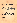#### *The Clown (Initiative: 90)*

Slashes a group with four different colors.

Four different colors must be present in the Slashed Group. Multiple Actors in the group may share the same color.

#### *The MasterMind (Initiative: 105)*

Scores 2 points for every other player who Slashed this turn, only if every other player successfully Slashed this turn.

If one or more players decided not to Slash, or if one or more players scored no points during the Slash phase, the Mastermind scores no points. During the Slash phase, all players are supposed to decide to Slash at the same time; it is not possible to wait and see if other players decide to Slash before you decide on playing the Mastermind.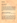# *Actions*

# *"Oh no! Not her!"* Move one Actor

Take one Actor on the table and move it. You can either take an Actor from an existing Group or a Lonely Actor, and put it back on the table so that it joins an existing Group, joins a Lonely Actor to form a Group, or is now alone as a Lonely Actor.

#### *"Regroup in the Basement!"*

Gather two groups or Lonely Actors into one group

You can take either two whole Groups, two Lonely Actors, or one whole Group and one Lonely Actor, and gather them to form a new Group. You cannot take only part of a Group; you must move all Actors in the Group at once.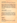# "Let's split up!"

Split one group into two groups or Lonely Actors

Take an existing Group on the table and split it into two, either as two new Groups, as one Group and one Lonely Actor, or as two Lonely Actors. Splitted Groups and Lonely Actors cannot join other existing Groups or Lonely Actors on this turn.

#### *"Take my spot!"*

Switch the position of two Actors.

Take one Actor from anywhere on the table, either from an existing Group or a Lonely Actor, and switch its position with another Actor, which can also be in an existing Group or a Lonely Actor.

# *Actors*

# *"Extra" (x2)*

This card can be used as a card of any value and any color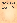This card is played as any other Actor. During the Slash phase, for each Villain, the active player who is playing the Villain chooses which value and which color the Extra has. The Extra cannot have more than one color and more than one value. Only an existing color can be chosen (blue, purple, red or yellow). Only an existing value can be chosen (1 to 7).

The Extra earns one point if Slashed, as any other Actor.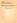# *Credits* Game Concept by Jérôme Bodin Artwork by Antonio de Miguel Conde

Slasher - the card game is a game by Le Studio des Ténèbres ©2019. All rights reserved.

> Le Studio des Ténèbres www.destenebres.com